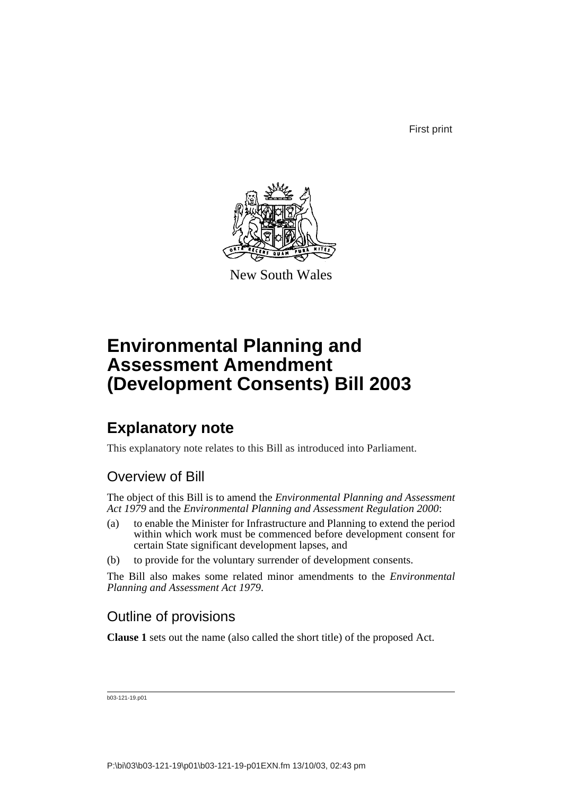First print



New South Wales

# **Environmental Planning and Assessment Amendment (Development Consents) Bill 2003**

## **Explanatory note**

This explanatory note relates to this Bill as introduced into Parliament.

### Overview of Bill

The object of this Bill is to amend the *Environmental Planning and Assessment Act 1979* and the *Environmental Planning and Assessment Regulation 2000*:

- (a) to enable the Minister for Infrastructure and Planning to extend the period within which work must be commenced before development consent for certain State significant development lapses, and
- (b) to provide for the voluntary surrender of development consents.

The Bill also makes some related minor amendments to the *Environmental Planning and Assessment Act 1979*.

### Outline of provisions

**Clause 1** sets out the name (also called the short title) of the proposed Act.

b03-121-19.p01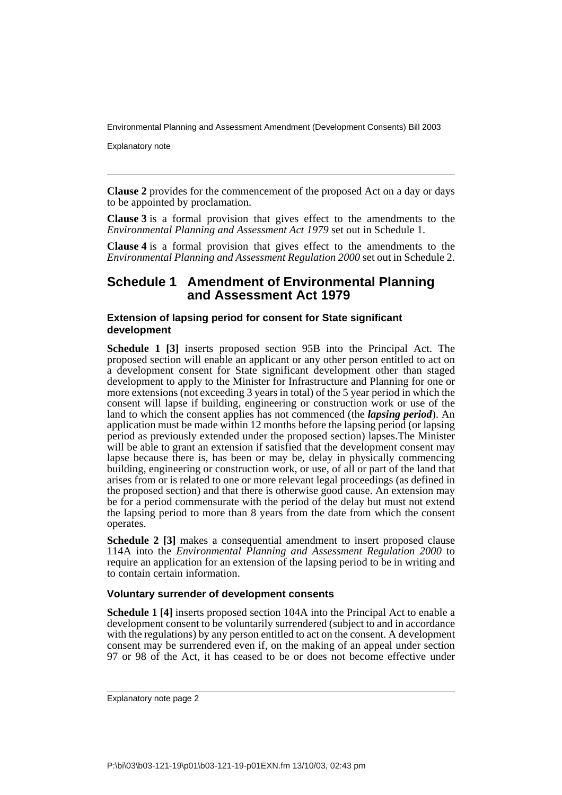Explanatory note

**Clause 2** provides for the commencement of the proposed Act on a day or days to be appointed by proclamation.

**Clause 3** is a formal provision that gives effect to the amendments to the *Environmental Planning and Assessment Act 1979* set out in Schedule 1.

**Clause 4** is a formal provision that gives effect to the amendments to the *Environmental Planning and Assessment Regulation 2000* set out in Schedule 2.

### **Schedule 1 Amendment of Environmental Planning and Assessment Act 1979**

### **Extension of lapsing period for consent for State significant development**

**Schedule 1 [3]** inserts proposed section 95B into the Principal Act. The proposed section will enable an applicant or any other person entitled to act on a development consent for State significant development other than staged development to apply to the Minister for Infrastructure and Planning for one or more extensions (not exceeding 3 years in total) of the 5 year period in which the consent will lapse if building, engineering or construction work or use of the land to which the consent applies has not commenced (the *lapsing period*). An application must be made within 12 months before the lapsing period (or lapsing period as previously extended under the proposed section) lapses.The Minister will be able to grant an extension if satisfied that the development consent may lapse because there is, has been or may be, delay in physically commencing building, engineering or construction work, or use, of all or part of the land that arises from or is related to one or more relevant legal proceedings (as defined in the proposed section) and that there is otherwise good cause. An extension may be for a period commensurate with the period of the delay but must not extend the lapsing period to more than 8 years from the date from which the consent operates.

**Schedule 2 [3]** makes a consequential amendment to insert proposed clause 114A into the *Environmental Planning and Assessment Regulation 2000* to require an application for an extension of the lapsing period to be in writing and to contain certain information.

#### **Voluntary surrender of development consents**

**Schedule 1 [4]** inserts proposed section 104A into the Principal Act to enable a development consent to be voluntarily surrendered (subject to and in accordance with the regulations) by any person entitled to act on the consent. A development consent may be surrendered even if, on the making of an appeal under section 97 or 98 of the Act, it has ceased to be or does not become effective under

Explanatory note page 2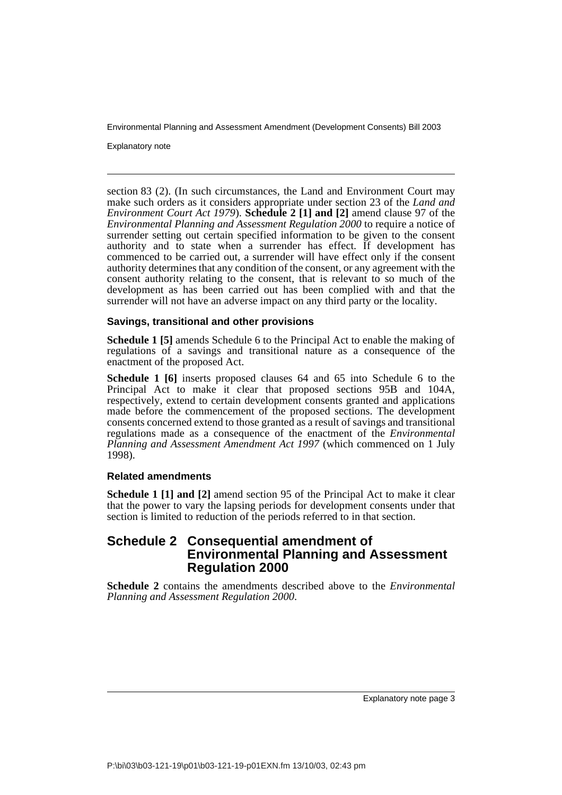Explanatory note

section 83 (2). (In such circumstances, the Land and Environment Court may make such orders as it considers appropriate under section 23 of the *Land and Environment Court Act 1979*). **Schedule 2 [1] and [2]** amend clause 97 of the *Environmental Planning and Assessment Regulation 2000* to require a notice of surrender setting out certain specified information to be given to the consent authority and to state when a surrender has effect. If development has commenced to be carried out, a surrender will have effect only if the consent authority determines that any condition of the consent, or any agreement with the consent authority relating to the consent, that is relevant to so much of the development as has been carried out has been complied with and that the surrender will not have an adverse impact on any third party or the locality.

### **Savings, transitional and other provisions**

**Schedule 1 [5]** amends Schedule 6 to the Principal Act to enable the making of regulations of a savings and transitional nature as a consequence of the enactment of the proposed Act.

**Schedule 1 [6]** inserts proposed clauses 64 and 65 into Schedule 6 to the Principal Act to make it clear that proposed sections 95B and 104A, respectively, extend to certain development consents granted and applications made before the commencement of the proposed sections. The development consents concerned extend to those granted as a result of savings and transitional regulations made as a consequence of the enactment of the *Environmental Planning and Assessment Amendment Act 1997* (which commenced on 1 July 1998).

### **Related amendments**

**Schedule 1 [1] and [2]** amend section 95 of the Principal Act to make it clear that the power to vary the lapsing periods for development consents under that section is limited to reduction of the periods referred to in that section.

### **Schedule 2 Consequential amendment of Environmental Planning and Assessment Regulation 2000**

**Schedule 2** contains the amendments described above to the *Environmental Planning and Assessment Regulation 2000*.

Explanatory note page 3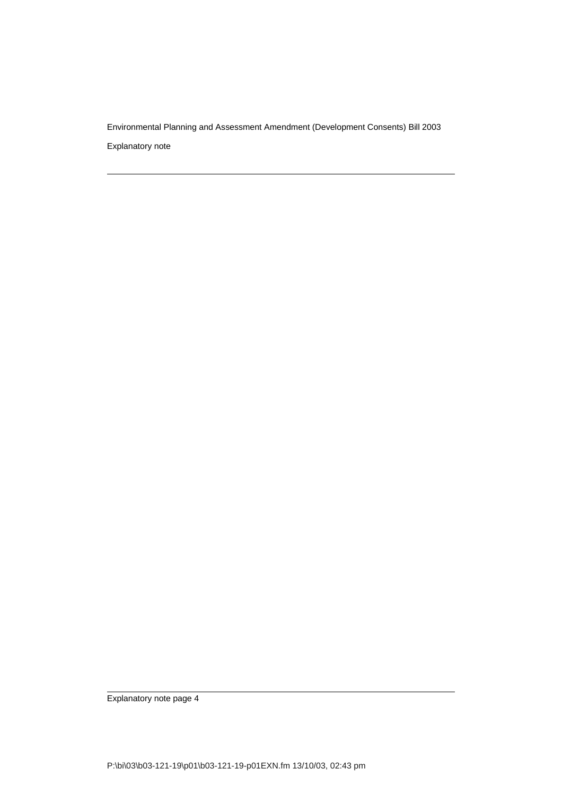Explanatory note

Explanatory note page 4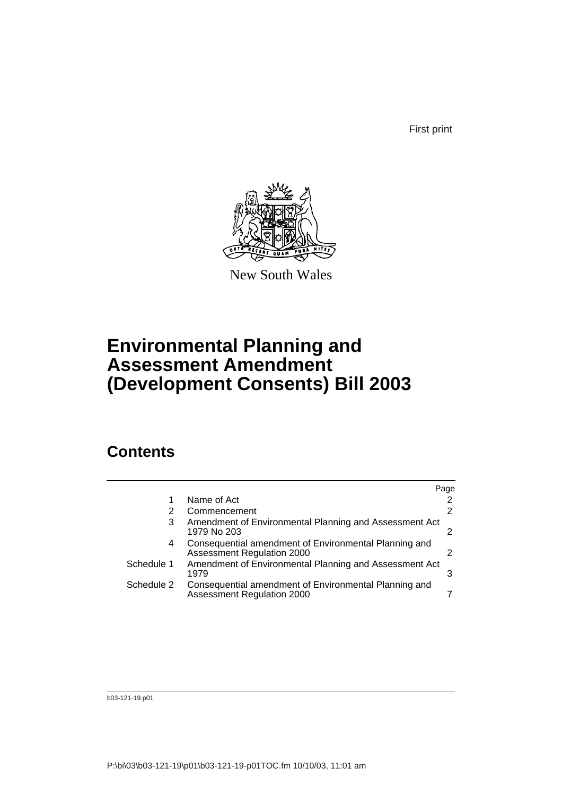First print



New South Wales

## **Environmental Planning and Assessment Amendment (Development Consents) Bill 2003**

## **Contents**

|                                                                                            | Page |
|--------------------------------------------------------------------------------------------|------|
| Name of Act                                                                                |      |
| Commencement                                                                               |      |
| Amendment of Environmental Planning and Assessment Act<br>1979 No 203                      |      |
| Consequential amendment of Environmental Planning and<br><b>Assessment Regulation 2000</b> |      |
| Amendment of Environmental Planning and Assessment Act<br>1979                             |      |
| Consequential amendment of Environmental Planning and<br><b>Assessment Regulation 2000</b> |      |
|                                                                                            |      |

b03-121-19.p01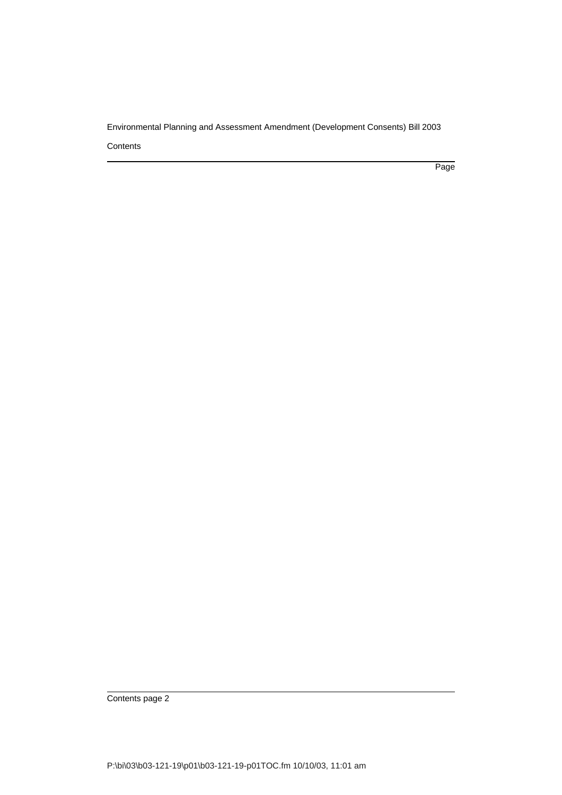**Contents** 

Page

Contents page 2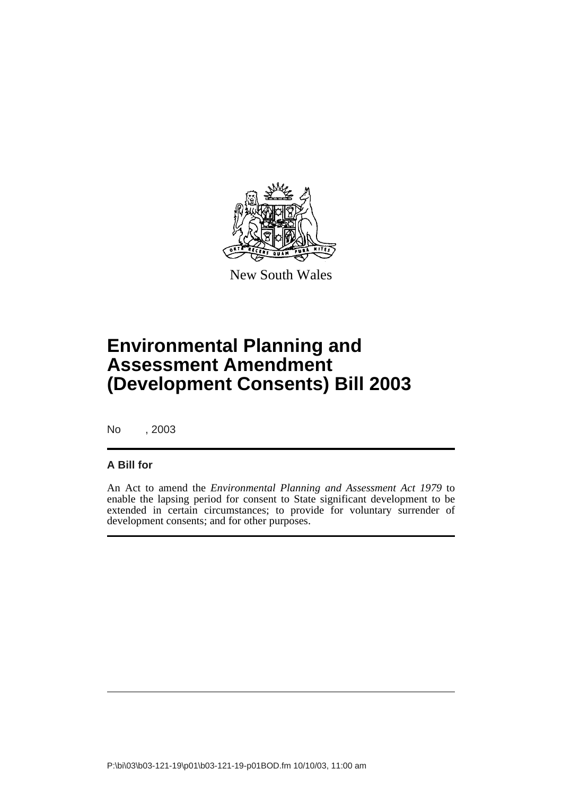

New South Wales

# **Environmental Planning and Assessment Amendment (Development Consents) Bill 2003**

No , 2003

### **A Bill for**

An Act to amend the *Environmental Planning and Assessment Act 1979* to enable the lapsing period for consent to State significant development to be extended in certain circumstances; to provide for voluntary surrender of development consents; and for other purposes.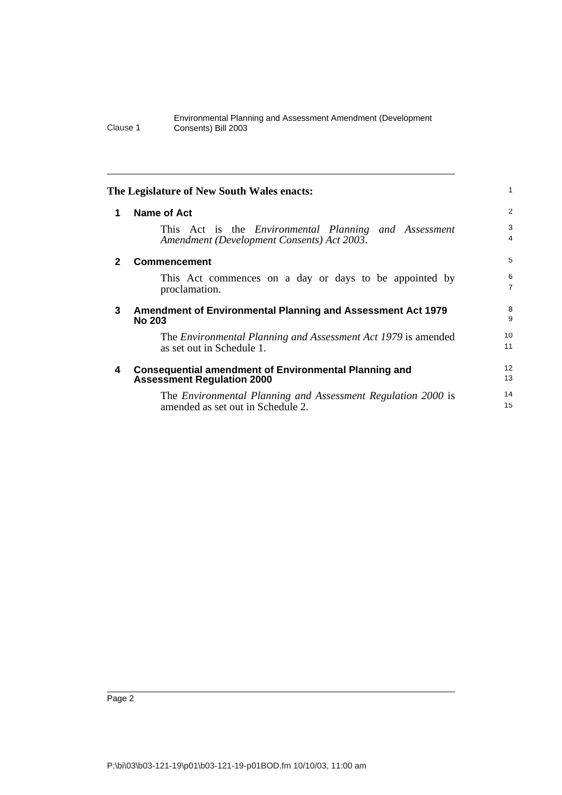<span id="page-7-3"></span><span id="page-7-2"></span><span id="page-7-1"></span><span id="page-7-0"></span>

|   | The Legislature of New South Wales enacts:                                                                 | 1                   |
|---|------------------------------------------------------------------------------------------------------------|---------------------|
| 1 | Name of Act                                                                                                | 2                   |
|   | This Act is the <i>Environmental Planning and Assessment</i><br>Amendment (Development Consents) Act 2003. | 3<br>4              |
| 2 | <b>Commencement</b>                                                                                        | 5                   |
|   | This Act commences on a day or days to be appointed by<br>proclamation.                                    | 6<br>$\overline{7}$ |
| 3 | <b>Amendment of Environmental Planning and Assessment Act 1979</b><br><b>No 203</b>                        | 8<br>9              |
|   | The <i>Environmental Planning and Assessment Act 1979</i> is amended                                       | 10                  |
|   | as set out in Schedule 1.                                                                                  | 11                  |
| 4 | <b>Consequential amendment of Environmental Planning and</b>                                               | 12                  |
|   | <b>Assessment Regulation 2000</b>                                                                          | 13                  |
|   | The Environmental Planning and Assessment Regulation 2000 is                                               | 14                  |
|   | amended as set out in Schedule 2.                                                                          | 15                  |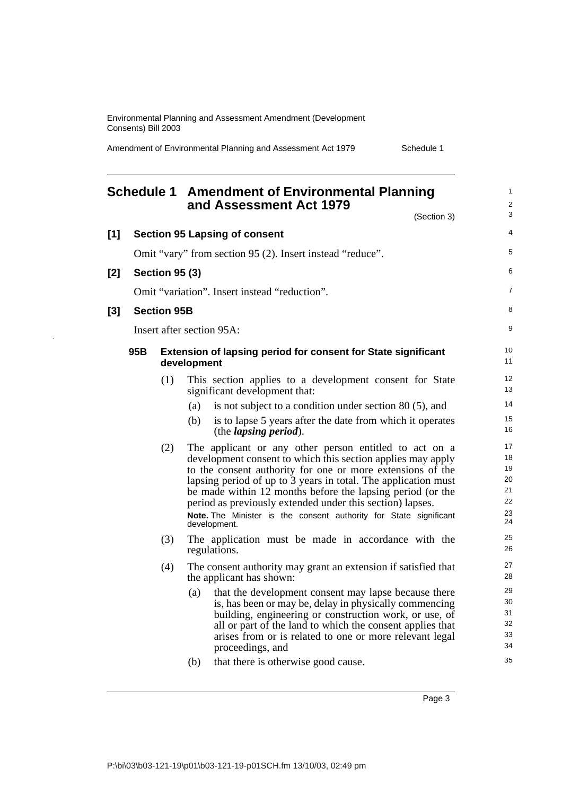Amendment of Environmental Planning and Assessment Act 1979 Schedule 1

#### <span id="page-8-0"></span>**Schedule 1 Amendment of Environmental Planning and Assessment Act 1979** (Section 3) **[1] Section 95 Lapsing of consent** Omit "vary" from section 95 (2). Insert instead "reduce". **[2] Section 95 (3)** Omit "variation". Insert instead "reduction". **[3] Section 95B** Insert after section 95A: **95B Extension of lapsing period for consent for State significant development** (1) This section applies to a development consent for State significant development that: (a) is not subject to a condition under section 80 (5), and (b) is to lapse 5 years after the date from which it operates (the *lapsing period*). (2) The applicant or any other person entitled to act on a development consent to which this section applies may apply to the consent authority for one or more extensions of the lapsing period of up to 3 years in total. The application must be made within 12 months before the lapsing period (or the period as previously extended under this section) lapses. **Note.** The Minister is the consent authority for State significant development. (3) The application must be made in accordance with the regulations. (4) The consent authority may grant an extension if satisfied that the applicant has shown: (a) that the development consent may lapse because there is, has been or may be, delay in physically commencing building, engineering or construction work, or use, of all or part of the land to which the consent applies that arises from or is related to one or more relevant legal proceedings, and (b) that there is otherwise good cause. 1  $\mathfrak{p}$ 3 4 5 6 7 8 9 10 11 12 13 14 15 16 17 18 19 20 21 22 23 24 25 26 27 28 29 30 31 32 33 34 35

Page 3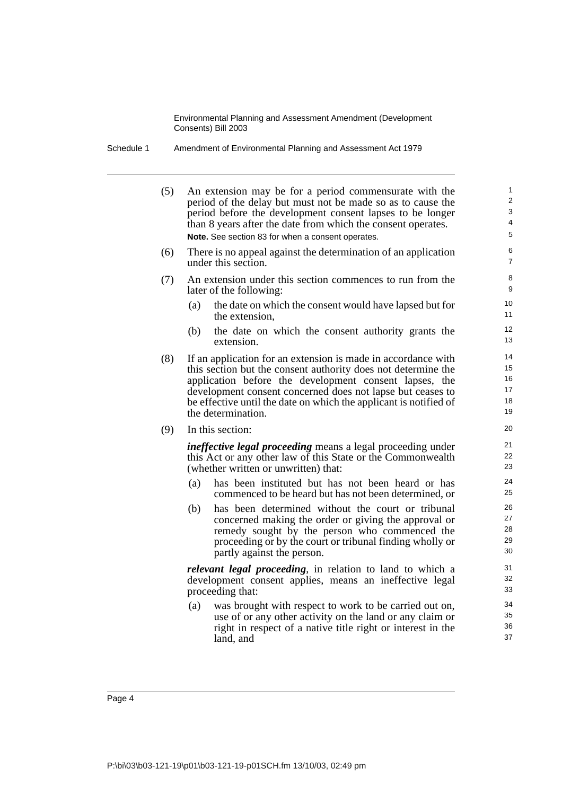Schedule 1 Amendment of Environmental Planning and Assessment Act 1979

(5) An extension may be for a period commensurate with the period of the delay but must not be made so as to cause the period before the development consent lapses to be longer than 8 years after the date from which the consent operates. **Note.** See section 83 for when a consent operates.

- (6) There is no appeal against the determination of an application under this section.
- (7) An extension under this section commences to run from the later of the following:
	- (a) the date on which the consent would have lapsed but for the extension,
	- (b) the date on which the consent authority grants the extension.
- (8) If an application for an extension is made in accordance with this section but the consent authority does not determine the application before the development consent lapses, the development consent concerned does not lapse but ceases to be effective until the date on which the applicant is notified of the determination.
- (9) In this section:

*ineffective legal proceeding* means a legal proceeding under this Act or any other law of this State or the Commonwealth (whether written or unwritten) that:

- (a) has been instituted but has not been heard or has commenced to be heard but has not been determined, or
- (b) has been determined without the court or tribunal concerned making the order or giving the approval or remedy sought by the person who commenced the proceeding or by the court or tribunal finding wholly or partly against the person.

*relevant legal proceeding*, in relation to land to which a development consent applies, means an ineffective legal proceeding that:

(a) was brought with respect to work to be carried out on, use of or any other activity on the land or any claim or right in respect of a native title right or interest in the land, and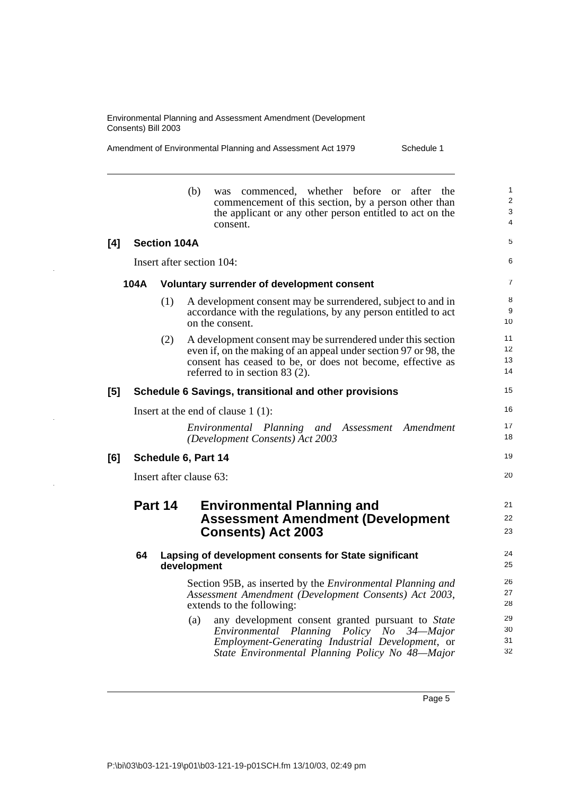i.

i.

 $\ddot{\phantom{a}}$ 

| Amendment of Environmental Planning and Assessment Act 1979 |  |  |
|-------------------------------------------------------------|--|--|
|-------------------------------------------------------------|--|--|

Schedule 1

|     |                                                                                                                       |                     | commenced, whether before<br>(b)<br>after<br>the<br><sub>or</sub><br>was<br>commencement of this section, by a person other than<br>the applicant or any other person entitled to act on the<br>consent.                         | $\mathbf{1}$<br>2<br>3<br>$\overline{4}$ |
|-----|-----------------------------------------------------------------------------------------------------------------------|---------------------|----------------------------------------------------------------------------------------------------------------------------------------------------------------------------------------------------------------------------------|------------------------------------------|
| [4] |                                                                                                                       | <b>Section 104A</b> |                                                                                                                                                                                                                                  | 5                                        |
|     |                                                                                                                       |                     | Insert after section 104:                                                                                                                                                                                                        | 6                                        |
|     | 104A                                                                                                                  |                     | Voluntary surrender of development consent                                                                                                                                                                                       | $\overline{7}$                           |
|     |                                                                                                                       | (1)                 | A development consent may be surrendered, subject to and in<br>accordance with the regulations, by any person entitled to act<br>on the consent.                                                                                 | 8<br>9<br>10                             |
|     |                                                                                                                       | (2)                 | A development consent may be surrendered under this section<br>even if, on the making of an appeal under section 97 or 98, the<br>consent has ceased to be, or does not become, effective as<br>referred to in section $83(2)$ . | 11<br>12<br>13<br>14                     |
| [5] |                                                                                                                       |                     | Schedule 6 Savings, transitional and other provisions                                                                                                                                                                            | 15                                       |
|     | Insert at the end of clause $1(1)$ :                                                                                  |                     |                                                                                                                                                                                                                                  | 16                                       |
|     |                                                                                                                       |                     | Environmental Planning and Assessment Amendment<br>(Development Consents) Act 2003                                                                                                                                               | 17<br>18                                 |
| [6] |                                                                                                                       |                     | Schedule 6, Part 14                                                                                                                                                                                                              | 19                                       |
|     |                                                                                                                       |                     | Insert after clause 63:                                                                                                                                                                                                          | 20                                       |
|     | Part 14<br><b>Environmental Planning and</b><br><b>Assessment Amendment (Development</b><br><b>Consents) Act 2003</b> |                     | 21<br>22<br>23                                                                                                                                                                                                                   |                                          |
|     | 64                                                                                                                    |                     | Lapsing of development consents for State significant<br>development                                                                                                                                                             | 24<br>25                                 |
|     |                                                                                                                       |                     | Section 95B, as inserted by the <i>Environmental Planning and</i><br>Assessment Amendment (Development Consents) Act 2003,<br>extends to the following:                                                                          | 26<br>27<br>28                           |
|     |                                                                                                                       |                     | any development consent granted pursuant to State<br>(a)<br>Environmental Planning Policy No 34—Major<br>Employment-Generating Industrial Development, or<br>State Environmental Planning Policy No 48–Major                     | 29<br>30<br>31<br>32                     |

Page 5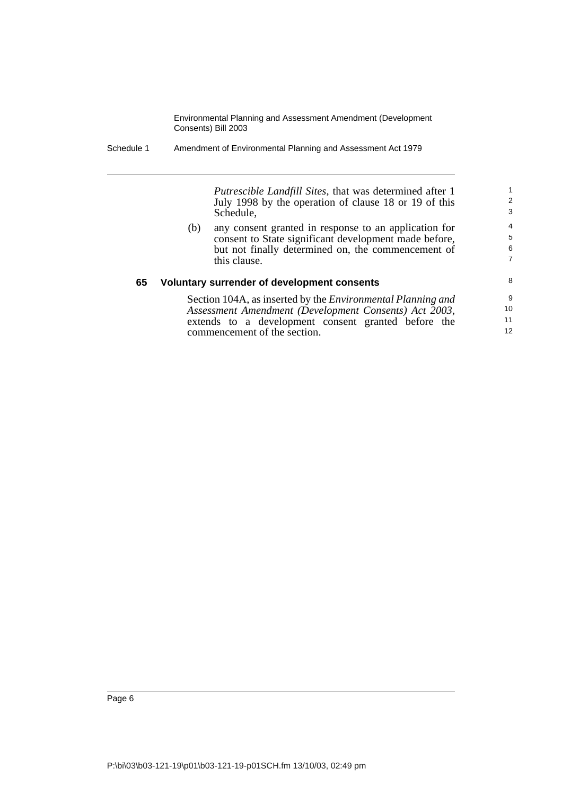Schedule 1 Amendment of Environmental Planning and Assessment Act 1979

*Putrescible Landfill Sites*, that was determined after 1 July 1998 by the operation of clause 18 or 19 of this Schedule,

(b) any consent granted in response to an application for consent to State significant development made before, but not finally determined on, the commencement of this clause.

#### **65 Voluntary surrender of development consents**

Section 104A, as inserted by the *Environmental Planning and Assessment Amendment (Development Consents) Act 2003*, extends to a development consent granted before the commencement of the section.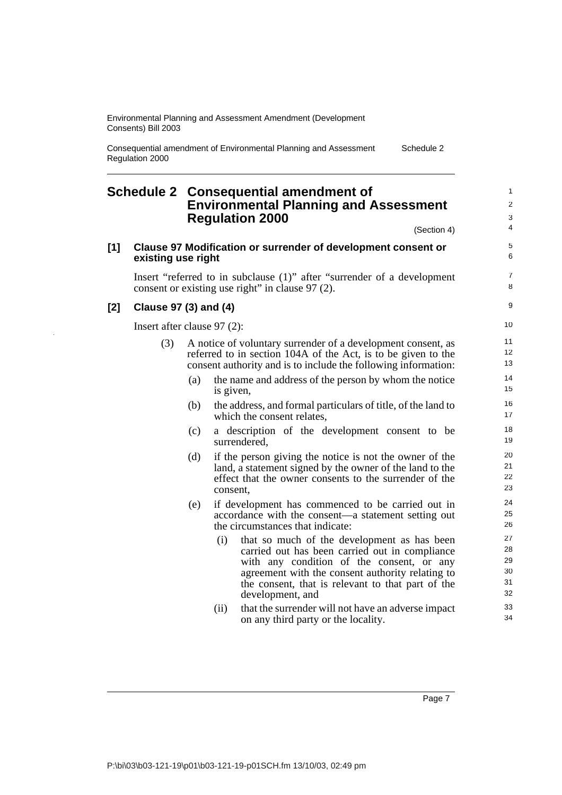Consequential amendment of Environmental Planning and Assessment Regulation 2000 Schedule 2

### <span id="page-12-0"></span>**Schedule 2 Consequential amendment of Environmental Planning and Assessment Regulation 2000**

(Section 4)

### **[1] Clause 97 Modification or surrender of development consent or existing use right**

Insert "referred to in subclause (1)" after "surrender of a development consent or existing use right" in clause 97 (2).

### **[2] Clause 97 (3) and (4)**

Insert after clause 97 (2):

- (3) A notice of voluntary surrender of a development consent, as referred to in section 104A of the Act, is to be given to the consent authority and is to include the following information:
	- (a) the name and address of the person by whom the notice is given,
	- (b) the address, and formal particulars of title, of the land to which the consent relates,
	- (c) a description of the development consent to be surrendered,
	- (d) if the person giving the notice is not the owner of the land, a statement signed by the owner of the land to the effect that the owner consents to the surrender of the consent,
	- (e) if development has commenced to be carried out in accordance with the consent—a statement setting out the circumstances that indicate:
		- (i) that so much of the development as has been carried out has been carried out in compliance with any condition of the consent, or any agreement with the consent authority relating to the consent, that is relevant to that part of the development, and
		- (ii) that the surrender will not have an adverse impact on any third party or the locality.

Page 7